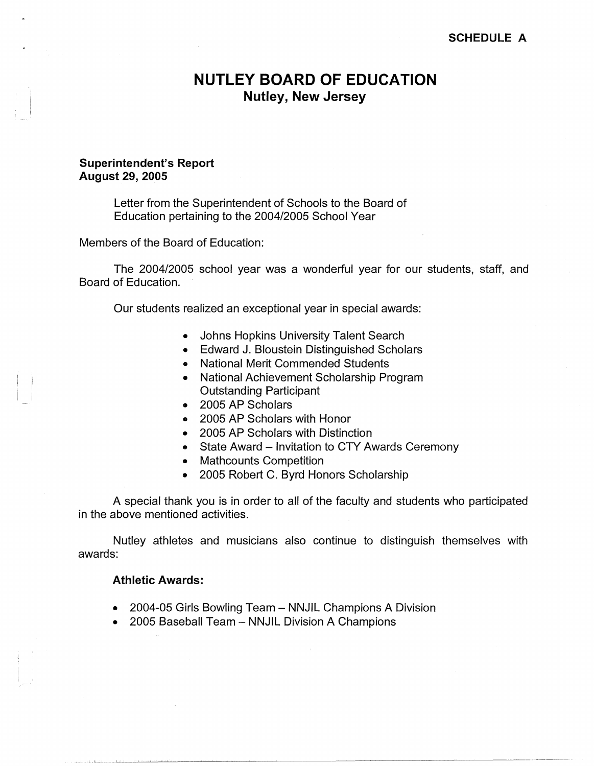# **NUTLEY BOARD OF EDUCATION Nutley, New Jersey**

### **Superintendent's Report August 29, 2005**

Letter from the Superintendent of Schools to the Board of Education pertaining to the 2004/2005 School Year

Members of the Board of Education:

The 2004/2005 school year was a wonderful year for our students, staff, and Board of Education.

Our students realized an exceptional year in special awards:

- Johns Hopkins University Talent Search
- Edward J. Bloustein Distinguished Scholars
- National Merit Commended Students
- National Achievement Scholarship Program Outstanding Participant
- 2005 AP Scholars
- 2005 AP Scholars with Honor
- 2005 AP Scholars with Distinction
- State Award Invitation to CTY Awards Ceremony
- Mathcounts Competition
- 2005 Robert C. Byrd Honors Scholarship

A special thank you is in order to all of the faculty and students who participated in the above mentioned activities.

Nutley athletes and musicians also continue to distinguish themselves with awards:

## **Athletic Awards:**

- 2004-05 Girls Bowling Team NNJIL Champions A Division
- 2005 Baseball Team NNJIL Division A Champions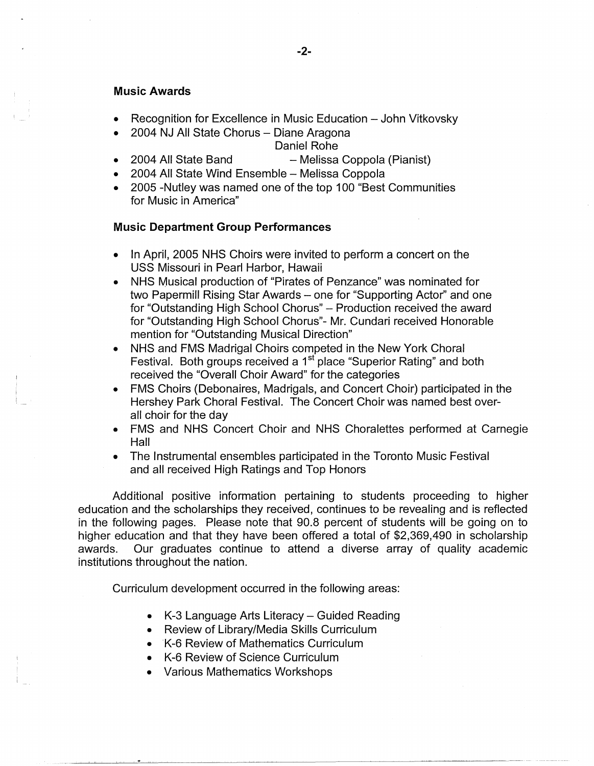#### **Music Awards**

- Recognition for Excellence in Music Education John Vitkovsky
- 2004 NJ All State Chorus Diane Aragona

## Daniel Rohe

- 2004 All State Band Melissa Coppola (Pianist)
- 2004 All State Wind Ensemble Melissa Coppola
- 2005 -Nutley was named one of the top 100 "Best Communities for Music in America"

#### **Music Department Group Performances**

- In April, 2005 NHS Choirs were invited to perform a concert on the USS Missouri in Pearl Harbor, Hawaii
- NHS Musical production of "Pirates of Penzance" was nominated for two Papermill Rising Star Awards - one for "Supporting Actor" and one for "Outstanding High School Chorus" - Production received the award for "Outstanding High School Chorus"- Mr. Cundari received Honorable mention for "Outstanding Musical Direction"
- NHS and FMS Madrigal Choirs competed in the New York Choral Festival. Both groups received a 1<sup>st</sup> place "Superior Rating" and both received the "Overall Choir Award" for the categories
- FMS Choirs (Debonaires, Madrigals, and Concert Choir) participated in the Hershey Park Choral Festival. The Concert Choir was named best overall choir for the day
- FMS and NHS Concert Choir and NHS Choralettes performed at Carnegie Hall
- The Instrumental ensembles participated in the Toronto Music Festival and all received High Ratings and Top Honors

Additional positive information pertaining to students proceeding to higher education and the scholarships they received, continues to be revealing and is reflected in the following pages. Please note that 90.8 percent of students will be going on to higher education and that they have been offered a total of \$2,369,490 in scholarship awards. Our graduates continue to attend a diverse array of quality academic institutions throughout the nation.

Curriculum development occurred in the following areas:

- K-3 Language Arts Literacy Guided Reading
- Review of Library/Media Skills Curriculum
- K-6 Review of Mathematics Curriculum
- K-6 Review of Science Curriculum
- Various Mathematics Workshops